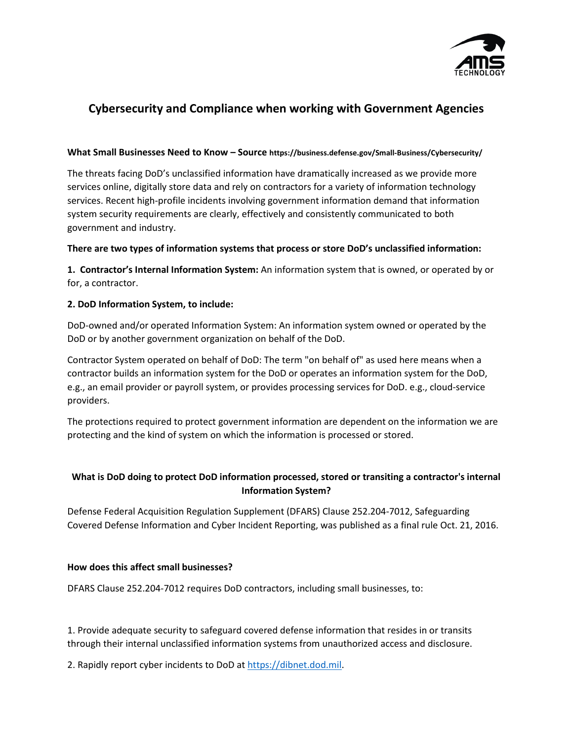

# **Cybersecurity and Compliance when working with Government Agencies**

#### **What Small Businesses Need to Know – Source https://business.defense.gov/Small-Business/Cybersecurity/**

The threats facing DoD's unclassified information have dramatically increased as we provide more services online, digitally store data and rely on contractors for a variety of information technology services. Recent high-profile incidents involving government information demand that information system security requirements are clearly, effectively and consistently communicated to both government and industry.

### **There are two types of information systems that process or store DoD's unclassified information:**

**1. Contractor's Internal Information System:** An information system that is owned, or operated by or for, a contractor.

## **2. DoD Information System, to include:**

DoD-owned and/or operated Information System: An information system owned or operated by the DoD or by another government organization on behalf of the DoD.

Contractor System operated on behalf of DoD: The term "on behalf of" as used here means when a contractor builds an information system for the DoD or operates an information system for the DoD, e.g., an email provider or payroll system, or provides processing services for DoD. e.g., cloud-service providers.

The protections required to protect government information are dependent on the information we are protecting and the kind of system on which the information is processed or stored.

## **What is DoD doing to protect DoD information processed, stored or transiting a contractor's internal Information System?**

Defense Federal Acquisition Regulation Supplement (DFARS) Clause 252.204-7012, Safeguarding Covered Defense Information and Cyber Incident Reporting, was published as a final rule Oct. 21, 2016.

## **How does this affect small businesses?**

DFARS Clause 252.204-7012 requires DoD contractors, including small businesses, to:

1. Provide adequate security to safeguard covered defense information that resides in or transits through their internal unclassified information systems from unauthorized access and disclosure.

2. Rapidly report cyber incidents to DoD a[t https://dibnet.dod.mil.](https://dibnet.dod.mil/)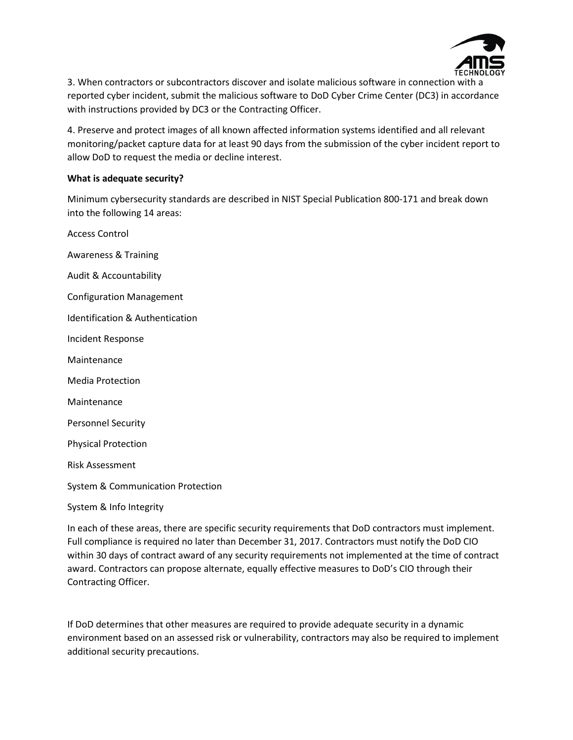

3. When contractors or subcontractors discover and isolate malicious software in connection with a reported cyber incident, submit the malicious software to DoD Cyber Crime Center (DC3) in accordance with instructions provided by DC3 or the Contracting Officer.

4. Preserve and protect images of all known affected information systems identified and all relevant monitoring/packet capture data for at least 90 days from the submission of the cyber incident report to allow DoD to request the media or decline interest.

#### **What is adequate security?**

Minimum cybersecurity standards are described in NIST Special Publication 800-171 and break down into the following 14 areas:

Access Control Awareness & Training Audit & Accountability Configuration Management Identification & Authentication Incident Response Maintenance Media Protection Maintenance Personnel Security Physical Protection Risk Assessment System & Communication Protection System & Info Integrity

In each of these areas, there are specific security requirements that DoD contractors must implement. Full compliance is required no later than December 31, 2017. Contractors must notify the DoD CIO within 30 days of contract award of any security requirements not implemented at the time of contract award. Contractors can propose alternate, equally effective measures to DoD's CIO through their Contracting Officer.

If DoD determines that other measures are required to provide adequate security in a dynamic environment based on an assessed risk or vulnerability, contractors may also be required to implement additional security precautions.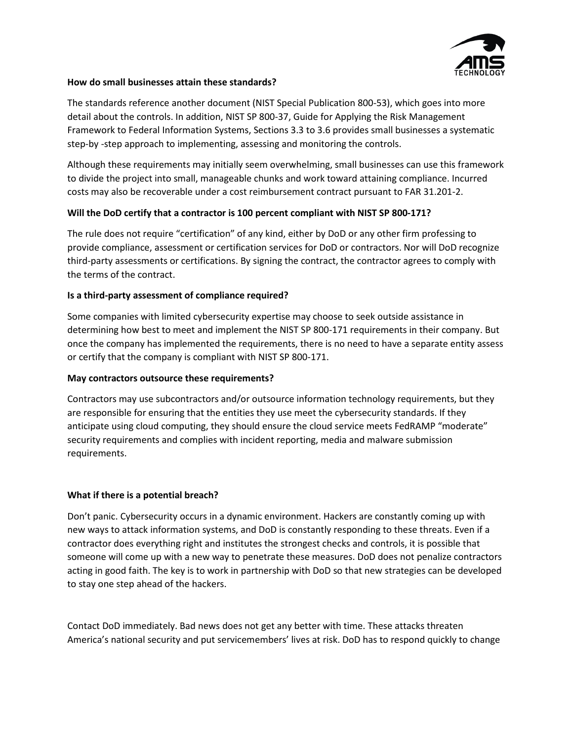

#### **How do small businesses attain these standards?**

The standards reference another document (NIST Special Publication 800-53), which goes into more detail about the controls. In addition, NIST SP 800-37, Guide for Applying the Risk Management Framework to Federal Information Systems, Sections 3.3 to 3.6 provides small businesses a systematic step-by -step approach to implementing, assessing and monitoring the controls.

Although these requirements may initially seem overwhelming, small businesses can use this framework to divide the project into small, manageable chunks and work toward attaining compliance. Incurred costs may also be recoverable under a cost reimbursement contract pursuant to FAR 31.201-2.

## **Will the DoD certify that a contractor is 100 percent compliant with NIST SP 800-171?**

The rule does not require "certification" of any kind, either by DoD or any other firm professing to provide compliance, assessment or certification services for DoD or contractors. Nor will DoD recognize third-party assessments or certifications. By signing the contract, the contractor agrees to comply with the terms of the contract.

### **Is a third-party assessment of compliance required?**

Some companies with limited cybersecurity expertise may choose to seek outside assistance in determining how best to meet and implement the NIST SP 800-171 requirements in their company. But once the company has implemented the requirements, there is no need to have a separate entity assess or certify that the company is compliant with NIST SP 800-171.

#### **May contractors outsource these requirements?**

Contractors may use subcontractors and/or outsource information technology requirements, but they are responsible for ensuring that the entities they use meet the cybersecurity standards. If they anticipate using cloud computing, they should ensure the cloud service meets FedRAMP "moderate" security requirements and complies with incident reporting, media and malware submission requirements.

## **What if there is a potential breach?**

Don't panic. Cybersecurity occurs in a dynamic environment. Hackers are constantly coming up with new ways to attack information systems, and DoD is constantly responding to these threats. Even if a contractor does everything right and institutes the strongest checks and controls, it is possible that someone will come up with a new way to penetrate these measures. DoD does not penalize contractors acting in good faith. The key is to work in partnership with DoD so that new strategies can be developed to stay one step ahead of the hackers.

Contact DoD immediately. Bad news does not get any better with time. These attacks threaten America's national security and put servicemembers' lives at risk. DoD has to respond quickly to change